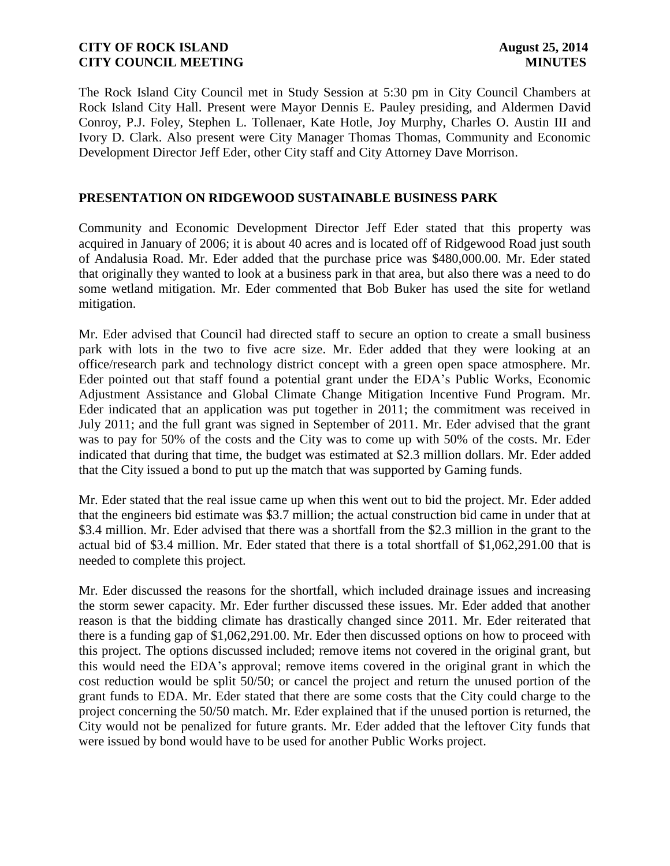The Rock Island City Council met in Study Session at 5:30 pm in City Council Chambers at Rock Island City Hall. Present were Mayor Dennis E. Pauley presiding, and Aldermen David Conroy, P.J. Foley, Stephen L. Tollenaer, Kate Hotle, Joy Murphy, Charles O. Austin III and Ivory D. Clark. Also present were City Manager Thomas Thomas, Community and Economic Development Director Jeff Eder, other City staff and City Attorney Dave Morrison.

### **PRESENTATION ON RIDGEWOOD SUSTAINABLE BUSINESS PARK**

Community and Economic Development Director Jeff Eder stated that this property was acquired in January of 2006; it is about 40 acres and is located off of Ridgewood Road just south of Andalusia Road. Mr. Eder added that the purchase price was \$480,000.00. Mr. Eder stated that originally they wanted to look at a business park in that area, but also there was a need to do some wetland mitigation. Mr. Eder commented that Bob Buker has used the site for wetland mitigation.

Mr. Eder advised that Council had directed staff to secure an option to create a small business park with lots in the two to five acre size. Mr. Eder added that they were looking at an office/research park and technology district concept with a green open space atmosphere. Mr. Eder pointed out that staff found a potential grant under the EDA's Public Works, Economic Adjustment Assistance and Global Climate Change Mitigation Incentive Fund Program. Mr. Eder indicated that an application was put together in 2011; the commitment was received in July 2011; and the full grant was signed in September of 2011. Mr. Eder advised that the grant was to pay for 50% of the costs and the City was to come up with 50% of the costs. Mr. Eder indicated that during that time, the budget was estimated at \$2.3 million dollars. Mr. Eder added that the City issued a bond to put up the match that was supported by Gaming funds.

Mr. Eder stated that the real issue came up when this went out to bid the project. Mr. Eder added that the engineers bid estimate was \$3.7 million; the actual construction bid came in under that at \$3.4 million. Mr. Eder advised that there was a shortfall from the \$2.3 million in the grant to the actual bid of \$3.4 million. Mr. Eder stated that there is a total shortfall of \$1,062,291.00 that is needed to complete this project.

Mr. Eder discussed the reasons for the shortfall, which included drainage issues and increasing the storm sewer capacity. Mr. Eder further discussed these issues. Mr. Eder added that another reason is that the bidding climate has drastically changed since 2011. Mr. Eder reiterated that there is a funding gap of \$1,062,291.00. Mr. Eder then discussed options on how to proceed with this project. The options discussed included; remove items not covered in the original grant, but this would need the EDA's approval; remove items covered in the original grant in which the cost reduction would be split 50/50; or cancel the project and return the unused portion of the grant funds to EDA. Mr. Eder stated that there are some costs that the City could charge to the project concerning the 50/50 match. Mr. Eder explained that if the unused portion is returned, the City would not be penalized for future grants. Mr. Eder added that the leftover City funds that were issued by bond would have to be used for another Public Works project.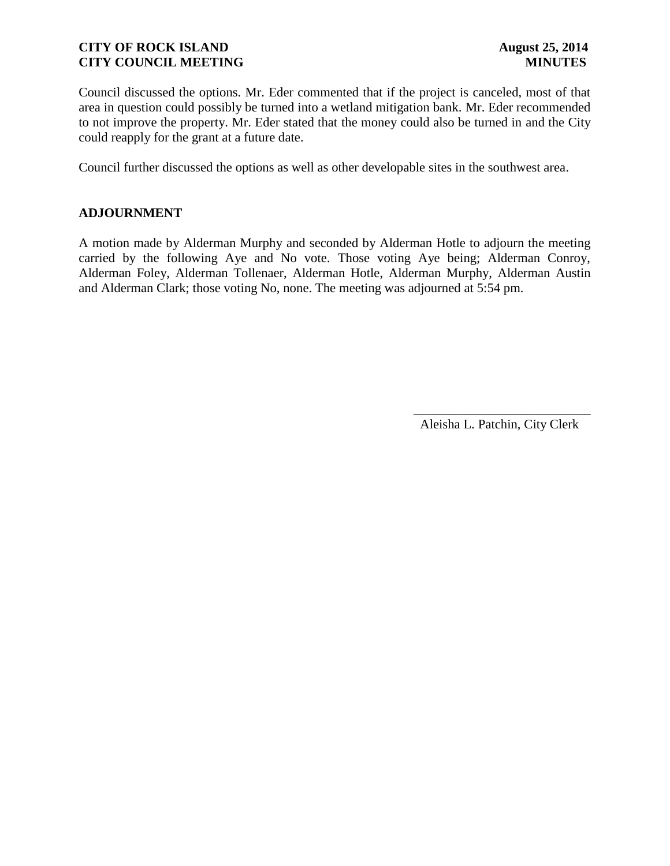Council discussed the options. Mr. Eder commented that if the project is canceled, most of that area in question could possibly be turned into a wetland mitigation bank. Mr. Eder recommended to not improve the property. Mr. Eder stated that the money could also be turned in and the City could reapply for the grant at a future date.

Council further discussed the options as well as other developable sites in the southwest area.

### **ADJOURNMENT**

A motion made by Alderman Murphy and seconded by Alderman Hotle to adjourn the meeting carried by the following Aye and No vote. Those voting Aye being; Alderman Conroy, Alderman Foley, Alderman Tollenaer, Alderman Hotle, Alderman Murphy, Alderman Austin and Alderman Clark; those voting No, none. The meeting was adjourned at 5:54 pm.

Aleisha L. Patchin, City Clerk

 $\frac{1}{2}$  ,  $\frac{1}{2}$  ,  $\frac{1}{2}$  ,  $\frac{1}{2}$  ,  $\frac{1}{2}$  ,  $\frac{1}{2}$  ,  $\frac{1}{2}$  ,  $\frac{1}{2}$  ,  $\frac{1}{2}$  ,  $\frac{1}{2}$  ,  $\frac{1}{2}$  ,  $\frac{1}{2}$  ,  $\frac{1}{2}$  ,  $\frac{1}{2}$  ,  $\frac{1}{2}$  ,  $\frac{1}{2}$  ,  $\frac{1}{2}$  ,  $\frac{1}{2}$  ,  $\frac{1$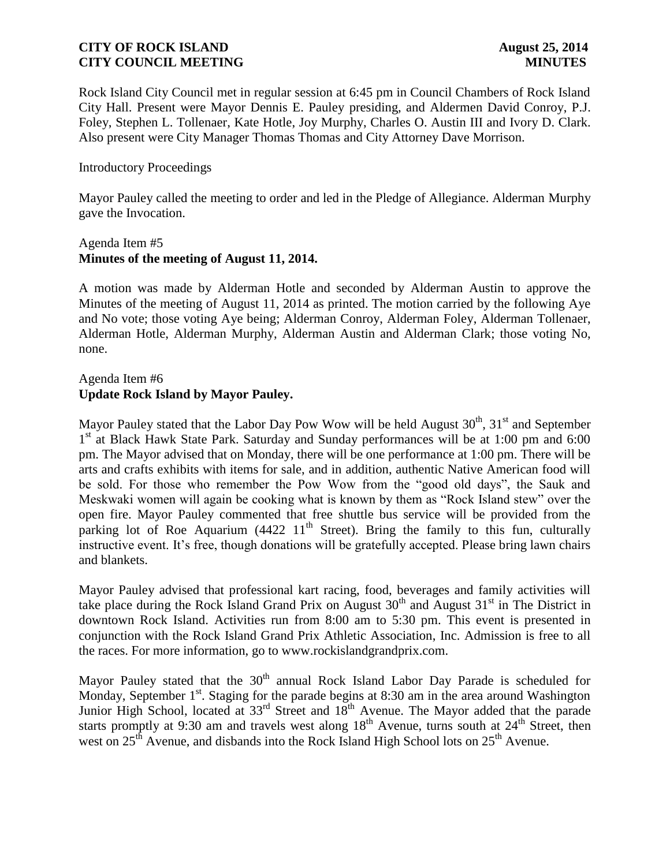Rock Island City Council met in regular session at 6:45 pm in Council Chambers of Rock Island City Hall. Present were Mayor Dennis E. Pauley presiding, and Aldermen David Conroy, P.J. Foley, Stephen L. Tollenaer, Kate Hotle, Joy Murphy, Charles O. Austin III and Ivory D. Clark. Also present were City Manager Thomas Thomas and City Attorney Dave Morrison.

## Introductory Proceedings

Mayor Pauley called the meeting to order and led in the Pledge of Allegiance. Alderman Murphy gave the Invocation.

### Agenda Item #5 **Minutes of the meeting of August 11, 2014.**

A motion was made by Alderman Hotle and seconded by Alderman Austin to approve the Minutes of the meeting of August 11, 2014 as printed. The motion carried by the following Aye and No vote; those voting Aye being; Alderman Conroy, Alderman Foley, Alderman Tollenaer, Alderman Hotle, Alderman Murphy, Alderman Austin and Alderman Clark; those voting No, none.

# Agenda Item #6 **Update Rock Island by Mayor Pauley.**

Mayor Pauley stated that the Labor Day Pow Wow will be held August  $30<sup>th</sup>$ ,  $31<sup>st</sup>$  and September 1<sup>st</sup> at Black Hawk State Park. Saturday and Sunday performances will be at 1:00 pm and 6:00 pm. The Mayor advised that on Monday, there will be one performance at 1:00 pm. There will be arts and crafts exhibits with items for sale, and in addition, authentic Native American food will be sold. For those who remember the Pow Wow from the "good old days", the Sauk and Meskwaki women will again be cooking what is known by them as "Rock Island stew" over the open fire. Mayor Pauley commented that free shuttle bus service will be provided from the parking lot of Roe Aquarium (4422  $11<sup>th</sup>$  Street). Bring the family to this fun, culturally instructive event. It's free, though donations will be gratefully accepted. Please bring lawn chairs and blankets.

Mayor Pauley advised that professional kart racing, food, beverages and family activities will take place during the Rock Island Grand Prix on August  $30<sup>th</sup>$  and August  $31<sup>st</sup>$  in The District in downtown Rock Island. Activities run from 8:00 am to 5:30 pm. This event is presented in conjunction with the Rock Island Grand Prix Athletic Association, Inc. Admission is free to all the races. For more information, go to www.rockislandgrandprix.com.

Mayor Pauley stated that the  $30<sup>th</sup>$  annual Rock Island Labor Day Parade is scheduled for Monday, September 1<sup>st</sup>. Staging for the parade begins at 8:30 am in the area around Washington Junior High School, located at 33<sup>rd</sup> Street and 18<sup>th</sup> Avenue. The Mayor added that the parade starts promptly at 9:30 am and travels west along  $18<sup>th</sup>$  Avenue, turns south at  $24<sup>th</sup>$  Street, then west on  $25<sup>th</sup>$  Avenue, and disbands into the Rock Island High School lots on  $25<sup>th</sup>$  Avenue.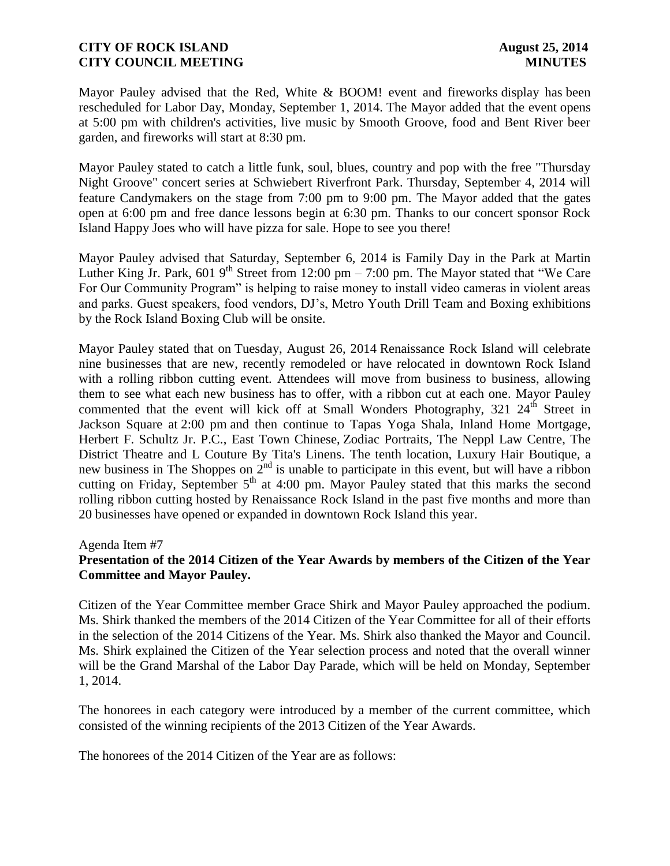Mayor Pauley advised that the Red, White & BOOM! event and fireworks display has been rescheduled for Labor Day, Monday, September 1, 2014. The Mayor added that the event opens at 5:00 pm with children's activities, live music by Smooth Groove, food and Bent River beer garden, and fireworks will start at 8:30 pm.

Mayor Pauley stated to catch a little funk, soul, blues, country and pop with the free "Thursday Night Groove" concert series at Schwiebert Riverfront Park. Thursday, September 4, 2014 will feature Candymakers on the stage from 7:00 pm to 9:00 pm. The Mayor added that the gates open at 6:00 pm and free dance lessons begin at 6:30 pm. Thanks to our concert sponsor Rock Island Happy Joes who will have pizza for sale. Hope to see you there!

Mayor Pauley advised that Saturday, September 6, 2014 is Family Day in the Park at Martin Luther King Jr. Park,  $6019^{th}$  Street from 12:00 pm – 7:00 pm. The Mayor stated that "We Care" For Our Community Program" is helping to raise money to install video cameras in violent areas and parks. Guest speakers, food vendors, DJ's, Metro Youth Drill Team and Boxing exhibitions by the Rock Island Boxing Club will be onsite.

Mayor Pauley stated that on Tuesday, August 26, 2014 Renaissance Rock Island will celebrate nine businesses that are new, recently remodeled or have relocated in downtown Rock Island with a rolling ribbon cutting event. Attendees will move from business to business, allowing them to see what each new business has to offer, with a ribbon cut at each one. Mayor Pauley commented that the event will kick off at Small Wonders Photography,  $321 \ 24$ <sup>th</sup> Street in Jackson Square at 2:00 pm and then continue to Tapas Yoga Shala, Inland Home Mortgage, Herbert F. Schultz Jr. P.C., East Town Chinese, Zodiac Portraits, The Neppl Law Centre, The District Theatre and L Couture By Tita's Linens. The tenth location, Luxury Hair Boutique, a new business in The Shoppes on  $2<sup>nd</sup>$  is unable to participate in this event, but will have a ribbon cutting on Friday, September  $5<sup>th</sup>$  at 4:00 pm. Mayor Pauley stated that this marks the second rolling ribbon cutting hosted by Renaissance Rock Island in the past five months and more than 20 businesses have opened or expanded in downtown Rock Island this year.

### Agenda Item #7

# **Presentation of the 2014 Citizen of the Year Awards by members of the Citizen of the Year Committee and Mayor Pauley.**

Citizen of the Year Committee member Grace Shirk and Mayor Pauley approached the podium. Ms. Shirk thanked the members of the 2014 Citizen of the Year Committee for all of their efforts in the selection of the 2014 Citizens of the Year. Ms. Shirk also thanked the Mayor and Council. Ms. Shirk explained the Citizen of the Year selection process and noted that the overall winner will be the Grand Marshal of the Labor Day Parade, which will be held on Monday, September 1, 2014.

The honorees in each category were introduced by a member of the current committee, which consisted of the winning recipients of the 2013 Citizen of the Year Awards.

The honorees of the 2014 Citizen of the Year are as follows: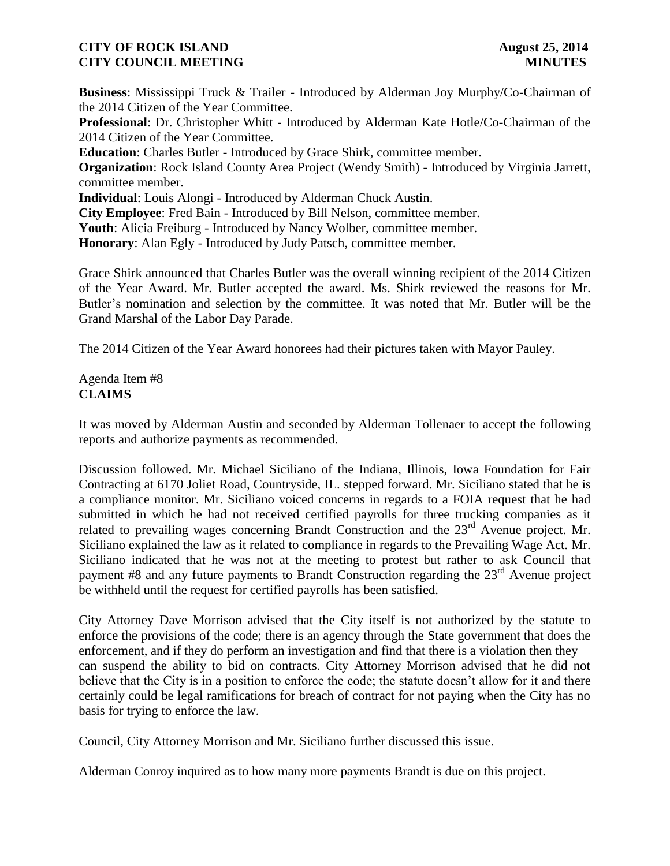**Business**: Mississippi Truck & Trailer - Introduced by Alderman Joy Murphy/Co-Chairman of the 2014 Citizen of the Year Committee.

**Professional**: Dr. Christopher Whitt - Introduced by Alderman Kate Hotle/Co-Chairman of the 2014 Citizen of the Year Committee.

**Education**: Charles Butler - Introduced by Grace Shirk, committee member.

**Organization**: Rock Island County Area Project (Wendy Smith) - Introduced by Virginia Jarrett, committee member.

**Individual**: Louis Alongi - Introduced by Alderman Chuck Austin.

**City Employee**: Fred Bain - Introduced by Bill Nelson, committee member.

**Youth**: Alicia Freiburg - Introduced by Nancy Wolber, committee member.

**Honorary**: Alan Egly - Introduced by Judy Patsch, committee member.

Grace Shirk announced that Charles Butler was the overall winning recipient of the 2014 Citizen of the Year Award. Mr. Butler accepted the award. Ms. Shirk reviewed the reasons for Mr. Butler's nomination and selection by the committee. It was noted that Mr. Butler will be the Grand Marshal of the Labor Day Parade.

The 2014 Citizen of the Year Award honorees had their pictures taken with Mayor Pauley.

Agenda Item #8 **CLAIMS**

It was moved by Alderman Austin and seconded by Alderman Tollenaer to accept the following reports and authorize payments as recommended.

Discussion followed. Mr. Michael Siciliano of the Indiana, Illinois, Iowa Foundation for Fair Contracting at 6170 Joliet Road, Countryside, IL. stepped forward. Mr. Siciliano stated that he is a compliance monitor. Mr. Siciliano voiced concerns in regards to a FOIA request that he had submitted in which he had not received certified payrolls for three trucking companies as it related to prevailing wages concerning Brandt Construction and the 23<sup>rd</sup> Avenue project. Mr. Siciliano explained the law as it related to compliance in regards to the Prevailing Wage Act. Mr. Siciliano indicated that he was not at the meeting to protest but rather to ask Council that payment #8 and any future payments to Brandt Construction regarding the 23<sup>rd</sup> Avenue project be withheld until the request for certified payrolls has been satisfied.

City Attorney Dave Morrison advised that the City itself is not authorized by the statute to enforce the provisions of the code; there is an agency through the State government that does the enforcement, and if they do perform an investigation and find that there is a violation then they can suspend the ability to bid on contracts. City Attorney Morrison advised that he did not believe that the City is in a position to enforce the code; the statute doesn't allow for it and there certainly could be legal ramifications for breach of contract for not paying when the City has no basis for trying to enforce the law.

Council, City Attorney Morrison and Mr. Siciliano further discussed this issue.

Alderman Conroy inquired as to how many more payments Brandt is due on this project.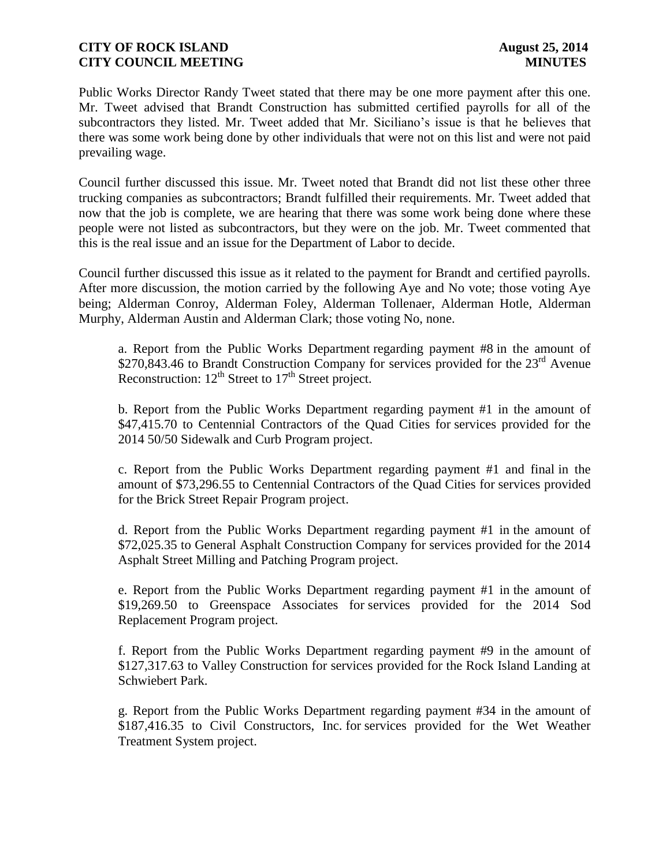Public Works Director Randy Tweet stated that there may be one more payment after this one. Mr. Tweet advised that Brandt Construction has submitted certified payrolls for all of the subcontractors they listed. Mr. Tweet added that Mr. Siciliano's issue is that he believes that there was some work being done by other individuals that were not on this list and were not paid prevailing wage.

Council further discussed this issue. Mr. Tweet noted that Brandt did not list these other three trucking companies as subcontractors; Brandt fulfilled their requirements. Mr. Tweet added that now that the job is complete, we are hearing that there was some work being done where these people were not listed as subcontractors, but they were on the job. Mr. Tweet commented that this is the real issue and an issue for the Department of Labor to decide.

Council further discussed this issue as it related to the payment for Brandt and certified payrolls. After more discussion, the motion carried by the following Aye and No vote; those voting Aye being; Alderman Conroy, Alderman Foley, Alderman Tollenaer, Alderman Hotle, Alderman Murphy, Alderman Austin and Alderman Clark; those voting No, none.

a. Report from the Public Works Department regarding payment #8 in the amount of \$270,843.46 to Brandt Construction Company for services provided for the  $23<sup>rd</sup>$  Avenue Reconstruction:  $12^{th}$  Street to  $17^{th}$  Street project.

b. Report from the Public Works Department regarding payment #1 in the amount of \$47,415.70 to Centennial Contractors of the Quad Cities for services provided for the 2014 50/50 Sidewalk and Curb Program project.

c. Report from the Public Works Department regarding payment #1 and final in the amount of \$73,296.55 to Centennial Contractors of the Quad Cities for services provided for the Brick Street Repair Program project.

d. Report from the Public Works Department regarding payment #1 in the amount of \$72,025.35 to General Asphalt Construction Company for services provided for the 2014 Asphalt Street Milling and Patching Program project.

e. Report from the Public Works Department regarding payment #1 in the amount of \$19,269.50 to Greenspace Associates for services provided for the 2014 Sod Replacement Program project.

f. Report from the Public Works Department regarding payment #9 in the amount of \$127,317.63 to Valley Construction for services provided for the Rock Island Landing at Schwiebert Park.

g. Report from the Public Works Department regarding payment #34 in the amount of \$187,416.35 to Civil Constructors, Inc. for services provided for the Wet Weather Treatment System project.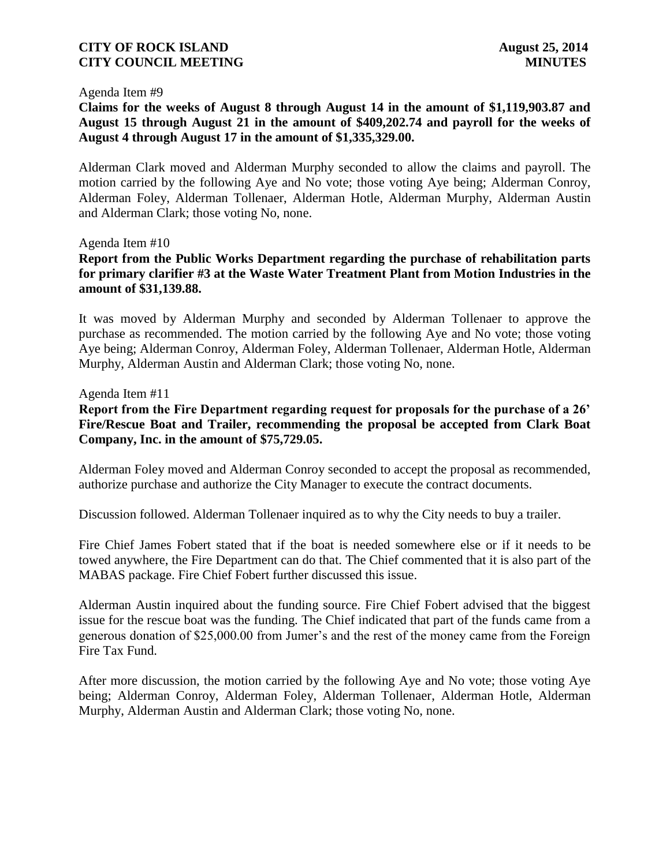#### Agenda Item #9

**Claims for the weeks of August 8 through August 14 in the amount of \$1,119,903.87 and August 15 through August 21 in the amount of \$409,202.74 and payroll for the weeks of August 4 through August 17 in the amount of \$1,335,329.00.** 

Alderman Clark moved and Alderman Murphy seconded to allow the claims and payroll. The motion carried by the following Aye and No vote; those voting Aye being; Alderman Conroy, Alderman Foley, Alderman Tollenaer, Alderman Hotle, Alderman Murphy, Alderman Austin and Alderman Clark; those voting No, none.

#### Agenda Item #10

**Report from the Public Works Department regarding the purchase of rehabilitation parts for primary clarifier #3 at the Waste Water Treatment Plant from Motion Industries in the amount of \$31,139.88.**

It was moved by Alderman Murphy and seconded by Alderman Tollenaer to approve the purchase as recommended. The motion carried by the following Aye and No vote; those voting Aye being; Alderman Conroy, Alderman Foley, Alderman Tollenaer, Alderman Hotle, Alderman Murphy, Alderman Austin and Alderman Clark; those voting No, none.

#### Agenda Item #11

**Report from the Fire Department regarding request for proposals for the purchase of a 26' Fire/Rescue Boat and Trailer, recommending the proposal be accepted from Clark Boat Company, Inc. in the amount of \$75,729.05.**

Alderman Foley moved and Alderman Conroy seconded to accept the proposal as recommended, authorize purchase and authorize the City Manager to execute the contract documents.

Discussion followed. Alderman Tollenaer inquired as to why the City needs to buy a trailer.

Fire Chief James Fobert stated that if the boat is needed somewhere else or if it needs to be towed anywhere, the Fire Department can do that. The Chief commented that it is also part of the MABAS package. Fire Chief Fobert further discussed this issue.

Alderman Austin inquired about the funding source. Fire Chief Fobert advised that the biggest issue for the rescue boat was the funding. The Chief indicated that part of the funds came from a generous donation of \$25,000.00 from Jumer's and the rest of the money came from the Foreign Fire Tax Fund.

After more discussion, the motion carried by the following Aye and No vote; those voting Aye being; Alderman Conroy, Alderman Foley, Alderman Tollenaer, Alderman Hotle, Alderman Murphy, Alderman Austin and Alderman Clark; those voting No, none.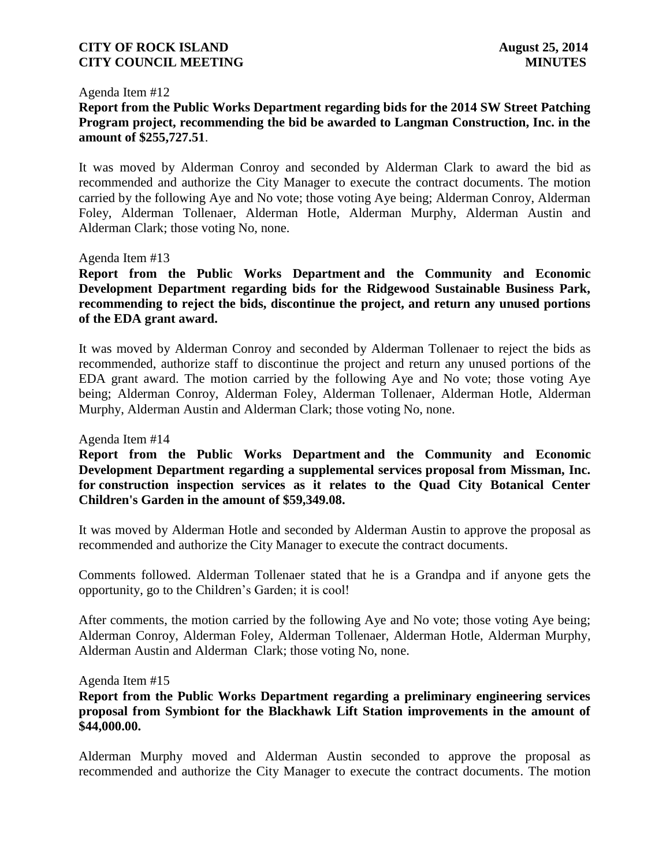#### Agenda Item #12

# **Report from the Public Works Department regarding bids for the 2014 SW Street Patching Program project, recommending the bid be awarded to Langman Construction, Inc. in the amount of \$255,727.51**.

It was moved by Alderman Conroy and seconded by Alderman Clark to award the bid as recommended and authorize the City Manager to execute the contract documents. The motion carried by the following Aye and No vote; those voting Aye being; Alderman Conroy, Alderman Foley, Alderman Tollenaer, Alderman Hotle, Alderman Murphy, Alderman Austin and Alderman Clark; those voting No, none.

#### Agenda Item #13

**Report from the Public Works Department and the Community and Economic Development Department regarding bids for the Ridgewood Sustainable Business Park, recommending to reject the bids, discontinue the project, and return any unused portions of the EDA grant award.**

It was moved by Alderman Conroy and seconded by Alderman Tollenaer to reject the bids as recommended, authorize staff to discontinue the project and return any unused portions of the EDA grant award. The motion carried by the following Aye and No vote; those voting Aye being; Alderman Conroy, Alderman Foley, Alderman Tollenaer, Alderman Hotle, Alderman Murphy, Alderman Austin and Alderman Clark; those voting No, none.

#### Agenda Item #14

**Report from the Public Works Department and the Community and Economic Development Department regarding a supplemental services proposal from Missman, Inc. for construction inspection services as it relates to the Quad City Botanical Center Children's Garden in the amount of \$59,349.08.**

It was moved by Alderman Hotle and seconded by Alderman Austin to approve the proposal as recommended and authorize the City Manager to execute the contract documents.

Comments followed. Alderman Tollenaer stated that he is a Grandpa and if anyone gets the opportunity, go to the Children's Garden; it is cool!

After comments, the motion carried by the following Aye and No vote; those voting Aye being; Alderman Conroy, Alderman Foley, Alderman Tollenaer, Alderman Hotle, Alderman Murphy, Alderman Austin and Alderman Clark; those voting No, none.

#### Agenda Item #15

**Report from the Public Works Department regarding a preliminary engineering services proposal from Symbiont for the Blackhawk Lift Station improvements in the amount of \$44,000.00.**

Alderman Murphy moved and Alderman Austin seconded to approve the proposal as recommended and authorize the City Manager to execute the contract documents. The motion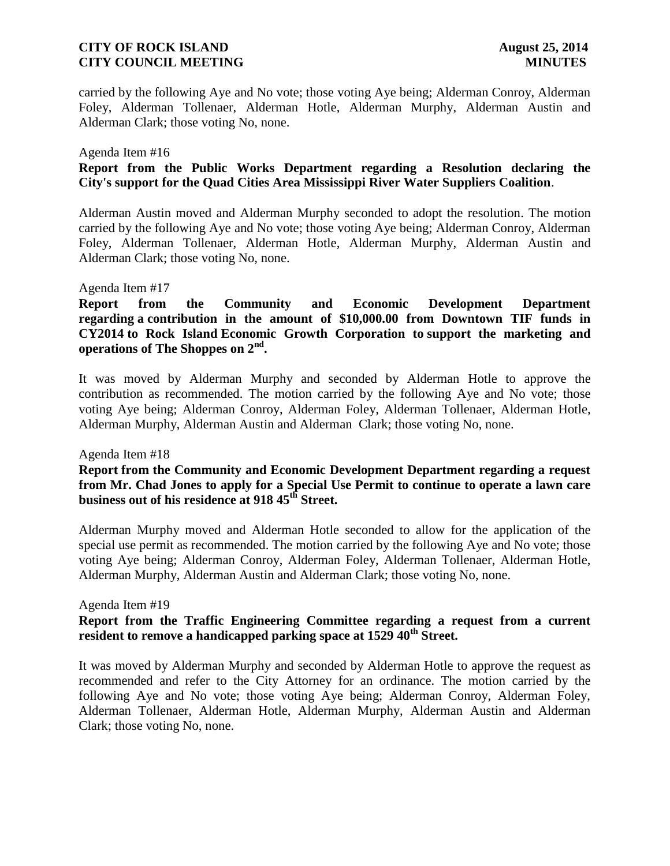carried by the following Aye and No vote; those voting Aye being; Alderman Conroy, Alderman Foley, Alderman Tollenaer, Alderman Hotle, Alderman Murphy, Alderman Austin and Alderman Clark; those voting No, none.

#### Agenda Item #16

## **Report from the Public Works Department regarding a Resolution declaring the City's support for the Quad Cities Area Mississippi River Water Suppliers Coalition**.

Alderman Austin moved and Alderman Murphy seconded to adopt the resolution. The motion carried by the following Aye and No vote; those voting Aye being; Alderman Conroy, Alderman Foley, Alderman Tollenaer, Alderman Hotle, Alderman Murphy, Alderman Austin and Alderman Clark; those voting No, none.

#### Agenda Item #17

**Report from the Community and Economic Development Department regarding a contribution in the amount of \$10,000.00 from Downtown TIF funds in CY2014 to Rock Island Economic Growth Corporation to support the marketing and operations of The Shoppes on 2nd .**

It was moved by Alderman Murphy and seconded by Alderman Hotle to approve the contribution as recommended. The motion carried by the following Aye and No vote; those voting Aye being; Alderman Conroy, Alderman Foley, Alderman Tollenaer, Alderman Hotle, Alderman Murphy, Alderman Austin and Alderman Clark; those voting No, none.

#### Agenda Item #18

## **Report from the Community and Economic Development Department regarding a request from Mr. Chad Jones to apply for a Special Use Permit to continue to operate a lawn care business out of his residence at 918 45th Street.**

Alderman Murphy moved and Alderman Hotle seconded to allow for the application of the special use permit as recommended. The motion carried by the following Aye and No vote; those voting Aye being; Alderman Conroy, Alderman Foley, Alderman Tollenaer, Alderman Hotle, Alderman Murphy, Alderman Austin and Alderman Clark; those voting No, none.

#### Agenda Item #19

## **Report from the Traffic Engineering Committee regarding a request from a current resident to remove a handicapped parking space at 1529 40th Street.**

It was moved by Alderman Murphy and seconded by Alderman Hotle to approve the request as recommended and refer to the City Attorney for an ordinance. The motion carried by the following Aye and No vote; those voting Aye being; Alderman Conroy, Alderman Foley, Alderman Tollenaer, Alderman Hotle, Alderman Murphy, Alderman Austin and Alderman Clark; those voting No, none.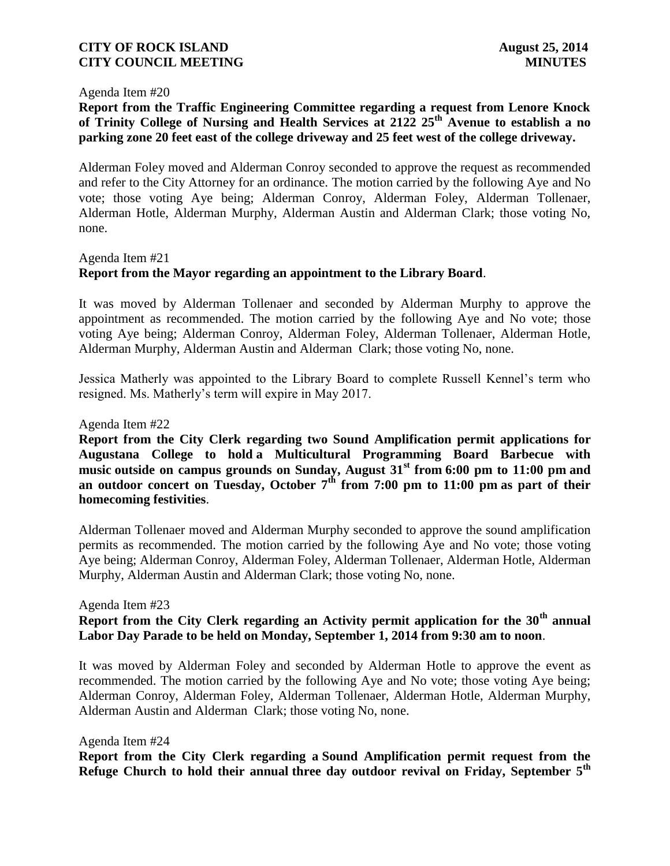#### Agenda Item #20

# **Report from the Traffic Engineering Committee regarding a request from Lenore Knock of Trinity College of Nursing and Health Services at 2122 25th Avenue to establish a no parking zone 20 feet east of the college driveway and 25 feet west of the college driveway.**

Alderman Foley moved and Alderman Conroy seconded to approve the request as recommended and refer to the City Attorney for an ordinance. The motion carried by the following Aye and No vote; those voting Aye being; Alderman Conroy, Alderman Foley, Alderman Tollenaer, Alderman Hotle, Alderman Murphy, Alderman Austin and Alderman Clark; those voting No, none.

Agenda Item #21

# **Report from the Mayor regarding an appointment to the Library Board**.

It was moved by Alderman Tollenaer and seconded by Alderman Murphy to approve the appointment as recommended. The motion carried by the following Aye and No vote; those voting Aye being; Alderman Conroy, Alderman Foley, Alderman Tollenaer, Alderman Hotle, Alderman Murphy, Alderman Austin and Alderman Clark; those voting No, none.

Jessica Matherly was appointed to the Library Board to complete Russell Kennel's term who resigned. Ms. Matherly's term will expire in May 2017.

Agenda Item #22

**Report from the City Clerk regarding two Sound Amplification permit applications for Augustana College to hold a Multicultural Programming Board Barbecue with music outside on campus grounds on Sunday, August 31st from 6:00 pm to 11:00 pm and an outdoor concert on Tuesday, October 7th from 7:00 pm to 11:00 pm as part of their homecoming festivities**.

Alderman Tollenaer moved and Alderman Murphy seconded to approve the sound amplification permits as recommended. The motion carried by the following Aye and No vote; those voting Aye being; Alderman Conroy, Alderman Foley, Alderman Tollenaer, Alderman Hotle, Alderman Murphy, Alderman Austin and Alderman Clark; those voting No, none.

Agenda Item #23

# **Report from the City Clerk regarding an Activity permit application for the 30th annual Labor Day Parade to be held on Monday, September 1, 2014 from 9:30 am to noon**.

It was moved by Alderman Foley and seconded by Alderman Hotle to approve the event as recommended. The motion carried by the following Aye and No vote; those voting Aye being; Alderman Conroy, Alderman Foley, Alderman Tollenaer, Alderman Hotle, Alderman Murphy, Alderman Austin and Alderman Clark; those voting No, none.

#### Agenda Item #24

**Report from the City Clerk regarding a Sound Amplification permit request from the Refuge Church to hold their annual three day outdoor revival on Friday, September 5th**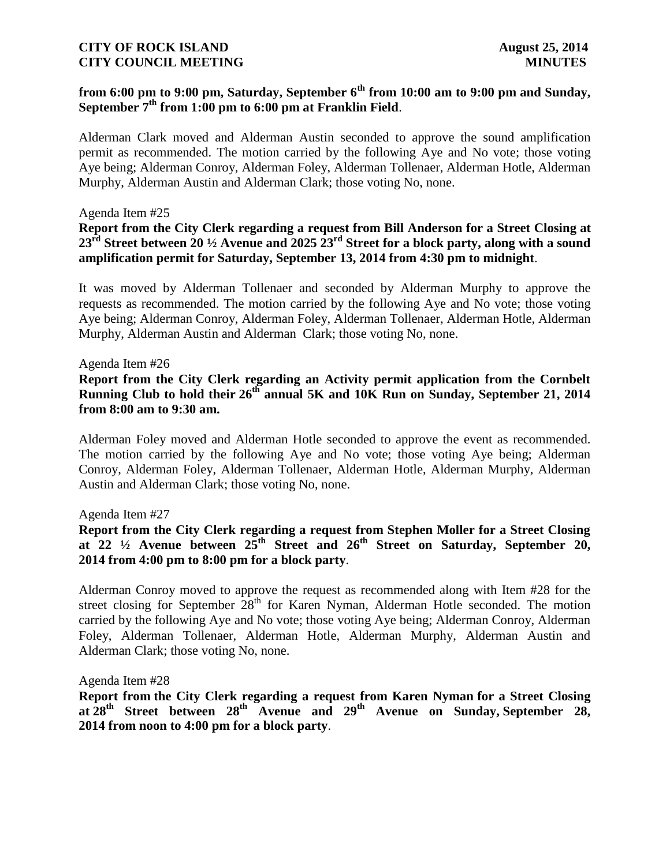# **from 6:00 pm to 9:00 pm, Saturday, September 6th from 10:00 am to 9:00 pm and Sunday, September 7th from 1:00 pm to 6:00 pm at Franklin Field**.

Alderman Clark moved and Alderman Austin seconded to approve the sound amplification permit as recommended. The motion carried by the following Aye and No vote; those voting Aye being; Alderman Conroy, Alderman Foley, Alderman Tollenaer, Alderman Hotle, Alderman Murphy, Alderman Austin and Alderman Clark; those voting No, none.

#### Agenda Item #25

## **Report from the City Clerk regarding a request from Bill Anderson for a Street Closing at 23rd Street between 20 ½ Avenue and 2025 23rd Street for a block party, along with a sound amplification permit for Saturday, September 13, 2014 from 4:30 pm to midnight**.

It was moved by Alderman Tollenaer and seconded by Alderman Murphy to approve the requests as recommended. The motion carried by the following Aye and No vote; those voting Aye being; Alderman Conroy, Alderman Foley, Alderman Tollenaer, Alderman Hotle, Alderman Murphy, Alderman Austin and Alderman Clark; those voting No, none.

#### Agenda Item #26

## **Report from the City Clerk regarding an Activity permit application from the Cornbelt Running Club to hold their 26th annual 5K and 10K Run on Sunday, September 21, 2014 from 8:00 am to 9:30 am.**

Alderman Foley moved and Alderman Hotle seconded to approve the event as recommended. The motion carried by the following Aye and No vote; those voting Aye being; Alderman Conroy, Alderman Foley, Alderman Tollenaer, Alderman Hotle, Alderman Murphy, Alderman Austin and Alderman Clark; those voting No, none.

#### Agenda Item #27

# **Report from the City Clerk regarding a request from Stephen Moller for a Street Closing at 22 ½ Avenue between 25th Street and 26th Street on Saturday, September 20, 2014 from 4:00 pm to 8:00 pm for a block party**.

Alderman Conroy moved to approve the request as recommended along with Item #28 for the street closing for September  $28<sup>th</sup>$  for Karen Nyman, Alderman Hotle seconded. The motion carried by the following Aye and No vote; those voting Aye being; Alderman Conroy, Alderman Foley, Alderman Tollenaer, Alderman Hotle, Alderman Murphy, Alderman Austin and Alderman Clark; those voting No, none.

#### Agenda Item #28

**Report from the City Clerk regarding a request from Karen Nyman for a Street Closing at 28th Street between 28th Avenue and 29th Avenue on Sunday, September 28, 2014 from noon to 4:00 pm for a block party**.